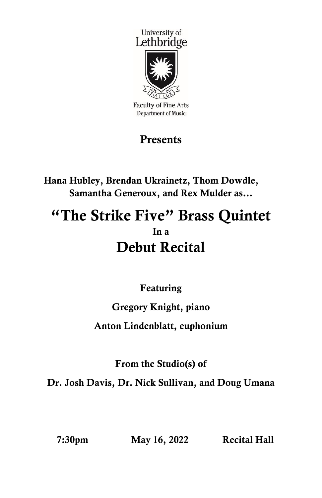

**Faculty of Fine Arts Department of Music** 

## Presents

Hana Hubley, Brendan Ukrainetz, Thom Dowdle, Samantha Generoux, and Rex Mulder as…

# "The Strike Five" Brass Quintet In a Debut Recital

Featuring

## Gregory Knight, piano

#### Anton Lindenblatt, euphonium

From the Studio(s) of

Dr. Josh Davis, Dr. Nick Sullivan, and Doug Umana

7:30pm May 16, 2022 Recital Hall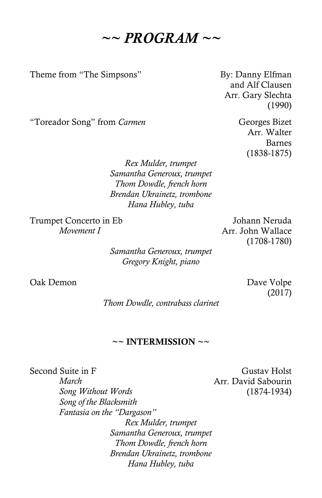$\sim$  *PROGRAM*  $\sim$   $\sim$ 

Theme from "The Simpsons" By: Danny Elfman

and Alf Clausen Arr. Gary Slechta (1990)

"Toreador Song" from *Carmen* Georges Bizet

Arr. Walter Barnes (1838-1875)

*Rex Mulder, trumpet Samantha Generoux, trumpet Thom Dowdle, french horn Brendan Ukrainetz, trombone Hana Hubley, tuba*

Trumpet Concerto in Eb *Movement I*

Johann Neruda Arr. John Wallace (1708-1780)

*Samantha Generoux, trumpet Gregory Knight, piano*

Oak Demon Dave Volpe

(2017)

*Thom Dowdle, contrabass clarinet*

#### $\sim$  INTERMISSION  $\sim$

Second Suite in F *March Song Without Words Song of the Blacksmith Fantasia on the "Dargason" Rex Mulder, trumpet Samantha Generoux, trumpet Thom Dowdle, french horn Brendan Ukrainetz, trombone Hana Hubley, tuba*

Gustav Holst Arr. David Sabourin (1874-1934)